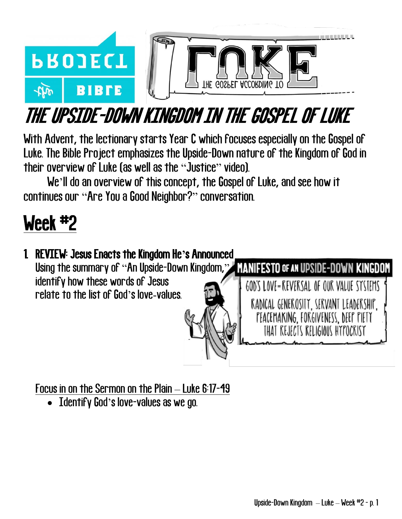

# THE UPSIDE-DOWN KINGDOM IN THE GOSPEL OF LUKE

With Advent, the lectionary starts Year C which focuses especially on the Gospel of Luke. The Bible Project emphasizes the Upside-Down nature of the Kingdom of God in their overview of Luke (as well as the "Justice" video).

We'll do an overview of this concept, the Gospel of Luke, and see how it continues our "Are You a Good Neighbor?" conversation.

## Week #2

#### 1. REVIEW: Jesus Enacts the Kingdom He**'**s Announced Using the summary of "An Upside-Down Kingdom," MANIFESTO OF AN UPSIDE-DOWN KINGDOM identify how these words of Jesus GOD'S LOVE=REVERSAL OF OUR VALUE SYSTEMS relate to the list of God's love-values. RADICAL GENEROSITY, SERVANT LEADERSHIP, PEACEMAKING, FORGIVENESS, DEEP PIETY THAT REJECTS RELIGIOUS HYPOCRISY

Focus in on the Sermon on the Plain – Luke 6:17-49

• Identify God's love-values as we go.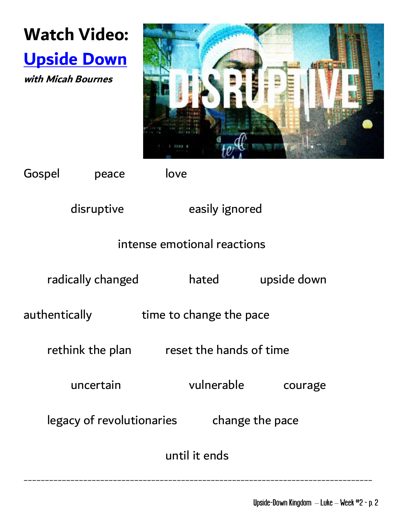



Gospel peace love

disruptive easily ignored

#### intense emotional reactions

radically changed hated upside down authentically **time to change the pace** rethink the plan reset the hands of time uncertain vulnerable courage legacy of revolutionaries change the pace until it ends

\_\_\_\_\_\_\_\_\_\_\_\_\_\_\_\_\_\_\_\_\_\_\_\_\_\_\_\_\_\_\_\_\_\_\_\_\_\_\_\_\_\_\_\_\_\_\_\_\_\_\_\_\_\_\_\_\_\_\_\_\_\_\_\_\_\_\_\_\_\_\_\_\_\_\_\_\_\_\_\_\_\_